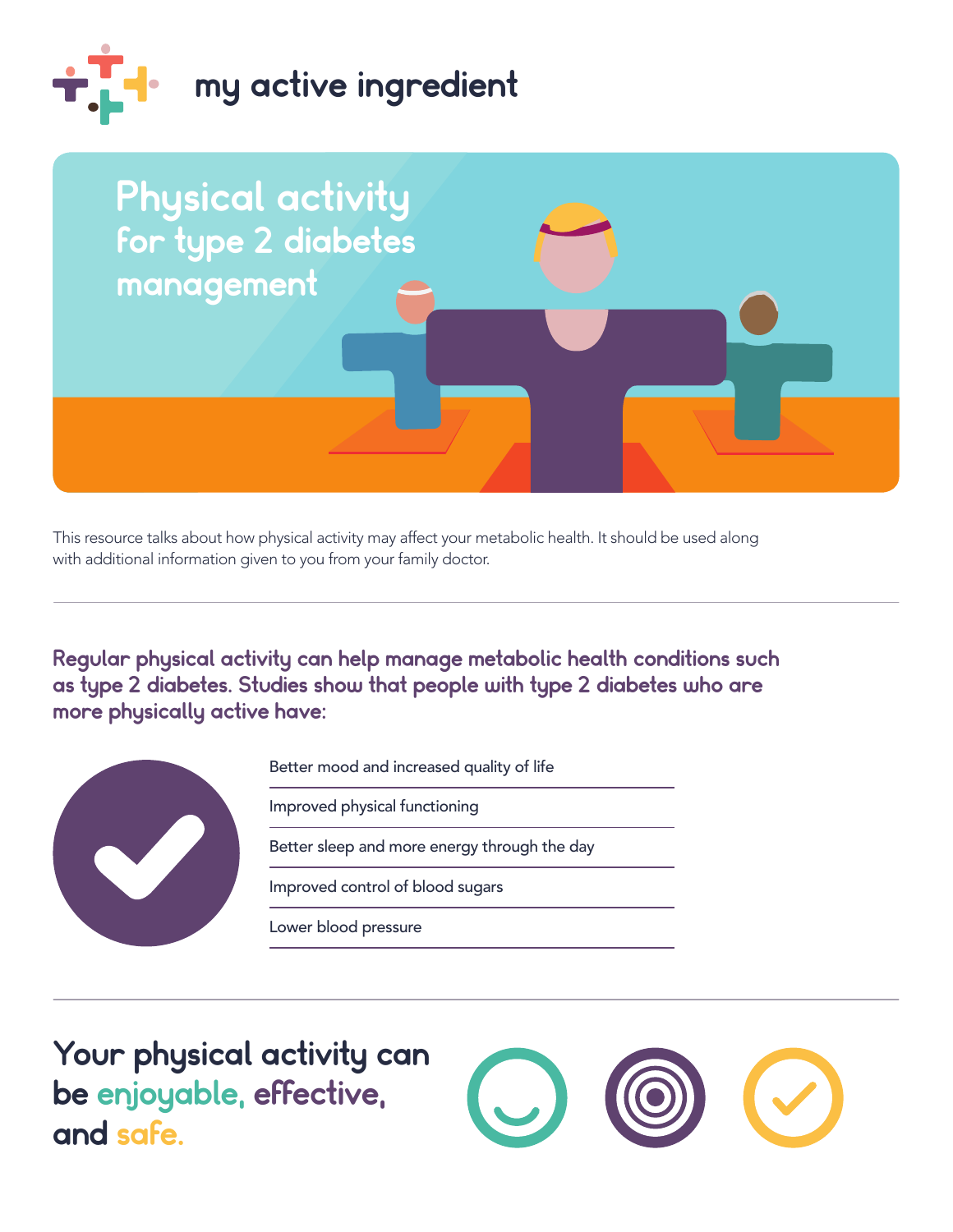



This resource talks about how physical activity may affect your metabolic health. It should be used along with additional information given to you from your family doctor.

Regular physical activity can help manage metabolic health conditions such as type 2 diabetes. Studies show that people with type 2 diabetes who are more physically active have:



Better mood and increased quality of life

Improved physical functioning

Better sleep and more energy through the day

Improved control of blood sugars

Lower blood pressure

 be enjoyable, effective, Your physical activity can and safe.